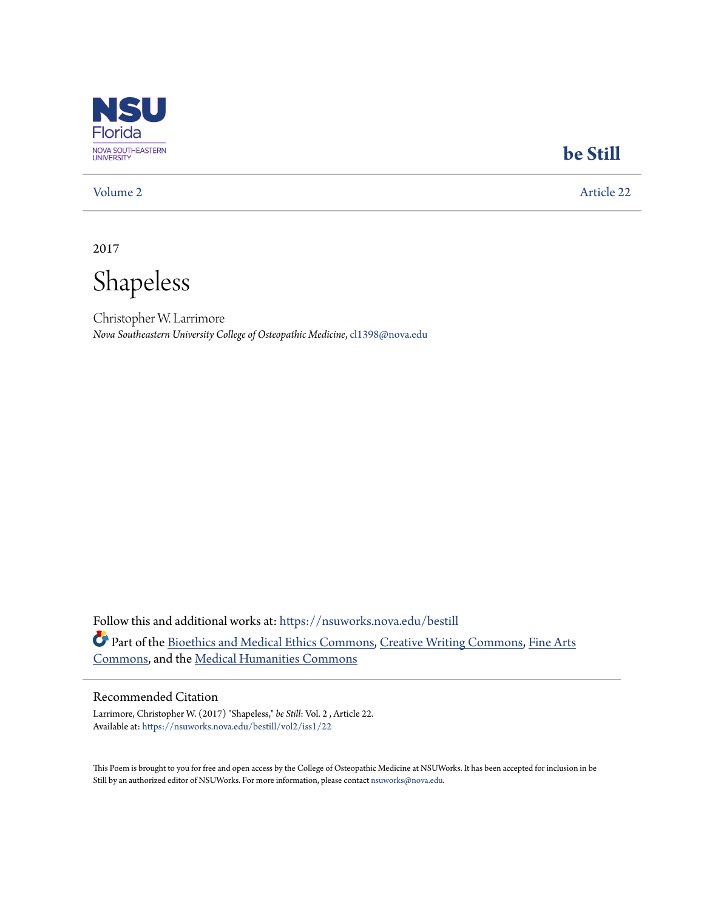

### **[be Still](https://nsuworks.nova.edu/bestill?utm_source=nsuworks.nova.edu%2Fbestill%2Fvol2%2Fiss1%2F22&utm_medium=PDF&utm_campaign=PDFCoverPages)**

[Volume 2](https://nsuworks.nova.edu/bestill/vol2?utm_source=nsuworks.nova.edu%2Fbestill%2Fvol2%2Fiss1%2F22&utm_medium=PDF&utm_campaign=PDFCoverPages) [Article 22](https://nsuworks.nova.edu/bestill/vol2/iss1/22?utm_source=nsuworks.nova.edu%2Fbestill%2Fvol2%2Fiss1%2F22&utm_medium=PDF&utm_campaign=PDFCoverPages)

2017

Shapeless

Christopher W. Larrimore *Nova Southeastern University College of Osteopathic Medicine*, cl1398@nova.edu

Follow this and additional works at: [https://nsuworks.nova.edu/bestill](https://nsuworks.nova.edu/bestill?utm_source=nsuworks.nova.edu%2Fbestill%2Fvol2%2Fiss1%2F22&utm_medium=PDF&utm_campaign=PDFCoverPages) Part of the [Bioethics and Medical Ethics Commons,](http://network.bepress.com/hgg/discipline/650?utm_source=nsuworks.nova.edu%2Fbestill%2Fvol2%2Fiss1%2F22&utm_medium=PDF&utm_campaign=PDFCoverPages) [Creative Writing Commons,](http://network.bepress.com/hgg/discipline/574?utm_source=nsuworks.nova.edu%2Fbestill%2Fvol2%2Fiss1%2F22&utm_medium=PDF&utm_campaign=PDFCoverPages) [Fine Arts](http://network.bepress.com/hgg/discipline/1141?utm_source=nsuworks.nova.edu%2Fbestill%2Fvol2%2Fiss1%2F22&utm_medium=PDF&utm_campaign=PDFCoverPages) [Commons,](http://network.bepress.com/hgg/discipline/1141?utm_source=nsuworks.nova.edu%2Fbestill%2Fvol2%2Fiss1%2F22&utm_medium=PDF&utm_campaign=PDFCoverPages) and the [Medical Humanities Commons](http://network.bepress.com/hgg/discipline/1303?utm_source=nsuworks.nova.edu%2Fbestill%2Fvol2%2Fiss1%2F22&utm_medium=PDF&utm_campaign=PDFCoverPages)

#### Recommended Citation

Larrimore, Christopher W. (2017) "Shapeless," *be Still*: Vol. 2 , Article 22. Available at: [https://nsuworks.nova.edu/bestill/vol2/iss1/22](https://nsuworks.nova.edu/bestill/vol2/iss1/22?utm_source=nsuworks.nova.edu%2Fbestill%2Fvol2%2Fiss1%2F22&utm_medium=PDF&utm_campaign=PDFCoverPages)

This Poem is brought to you for free and open access by the College of Osteopathic Medicine at NSUWorks. It has been accepted for inclusion in be Still by an authorized editor of NSUWorks. For more information, please contact [nsuworks@nova.edu](mailto:nsuworks@nova.edu).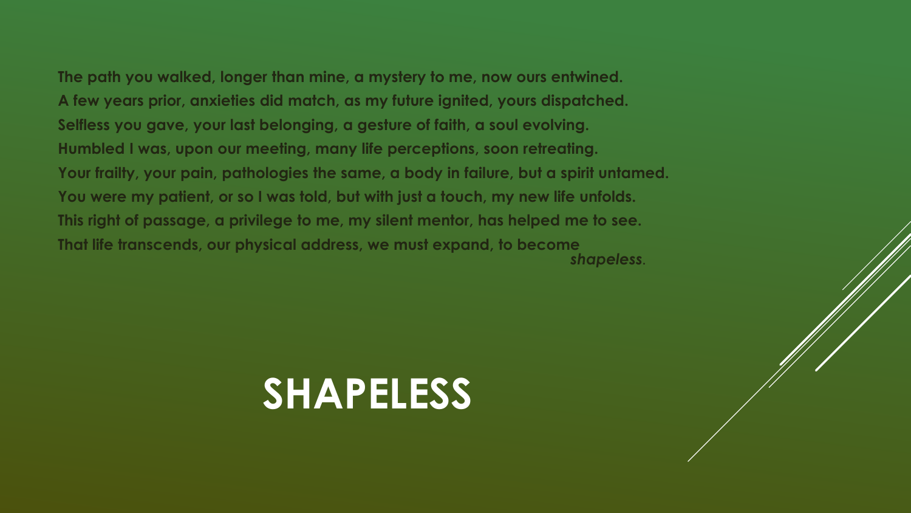**The path you walked, longer than mine, a mystery to me, now ours entwined. A few years prior, anxieties did match, as my future ignited, yours dispatched. Selfless you gave, your last belonging, a gesture of faith, a soul evolving. Humbled I was, upon our meeting, many life perceptions, soon retreating. Your frailty, your pain, pathologies the same, a body in failure, but a spirit untamed. You were my patient, or so I was told, but with just a touch, my new life unfolds.** 

**This right of passage, a privilege to me, my silent mentor, has helped me to see. That life transcends, our physical address, we must expand, to become**  *shapeless.*

# **SHAPELESS**